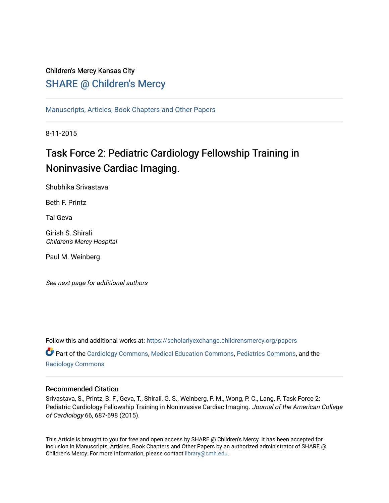## Children's Mercy Kansas City

## SHARE @ Children's Mercy

[Manuscripts, Articles, Book Chapters and Other Papers](https://scholarlyexchange.childrensmercy.org/papers)

8-11-2015

# Task Force 2: Pediatric Cardiology Fellowship Training in Noninvasive Cardiac Imaging.

Shubhika Srivastava

Beth F. Printz

Tal Geva

Girish S. Shirali Children's Mercy Hospital

Paul M. Weinberg

See next page for additional authors

Follow this and additional works at: [https://scholarlyexchange.childrensmercy.org/papers](https://scholarlyexchange.childrensmercy.org/papers?utm_source=scholarlyexchange.childrensmercy.org%2Fpapers%2F412&utm_medium=PDF&utm_campaign=PDFCoverPages) 

**C** Part of the [Cardiology Commons](http://network.bepress.com/hgg/discipline/683?utm_source=scholarlyexchange.childrensmercy.org%2Fpapers%2F412&utm_medium=PDF&utm_campaign=PDFCoverPages), [Medical Education Commons](http://network.bepress.com/hgg/discipline/1125?utm_source=scholarlyexchange.childrensmercy.org%2Fpapers%2F412&utm_medium=PDF&utm_campaign=PDFCoverPages), [Pediatrics Commons,](http://network.bepress.com/hgg/discipline/700?utm_source=scholarlyexchange.childrensmercy.org%2Fpapers%2F412&utm_medium=PDF&utm_campaign=PDFCoverPages) and the [Radiology Commons](http://network.bepress.com/hgg/discipline/705?utm_source=scholarlyexchange.childrensmercy.org%2Fpapers%2F412&utm_medium=PDF&utm_campaign=PDFCoverPages)

### Recommended Citation

Srivastava, S., Printz, B. F., Geva, T., Shirali, G. S., Weinberg, P. M., Wong, P. C., Lang, P. Task Force 2: Pediatric Cardiology Fellowship Training in Noninvasive Cardiac Imaging. Journal of the American College of Cardiology 66, 687-698 (2015).

This Article is brought to you for free and open access by SHARE @ Children's Mercy. It has been accepted for inclusion in Manuscripts, Articles, Book Chapters and Other Papers by an authorized administrator of SHARE @ Children's Mercy. For more information, please contact [library@cmh.edu](mailto:library@cmh.edu).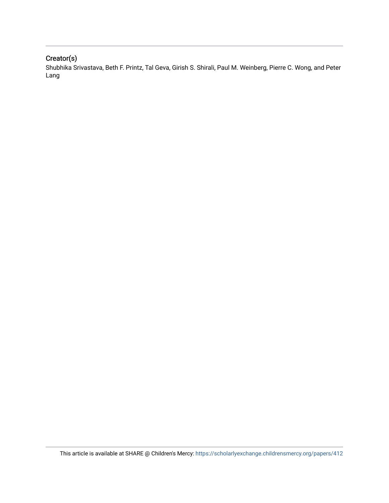### Creator(s)

Shubhika Srivastava, Beth F. Printz, Tal Geva, Girish S. Shirali, Paul M. Weinberg, Pierre C. Wong, and Peter Lang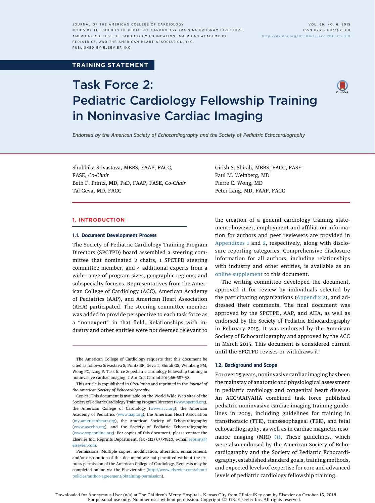JOURNAL OF THE AMERICAN COLLEGE OF CARDIOLOGY VOL. 66, NO. 6, 2015 ª 2015 BY THE SOCIETY OF PEDIATRIC CARDIOLOGY TRAINING PROGRAM DIRECTORS, AMERICAN COLLEGE OF CARDIOLOGY FOUNDATION, AMERICAN ACADEMY OF PEDIATRICS, AND THE AMERICAN HEART ASSOCIATION, INC. PUBLISHED BY ELSEVIER INC.

#### TRAINING STATEMENT



# Task Force 2: Pediatric Cardiology Fellowship Training in Noninvasive Cardiac Imaging

Endorsed by the American Society of Echocardiography and the Society of Pediatric Echocardiography

Shubhika Srivastava, MBBS, FAAP, FACC, FASE, Co-Chair Beth F. Printz, MD, PHD, FAAP, FASE, Co-Chair Tal Geva, MD, FACC

Girish S. Shirali, MBBS, FACC, FASE Paul M. Weinberg, MD Pierre C. Wong, MD Peter Lang, MD, FAAP, FACC

#### 1. INTRODUCTION

#### 1.1. Document Development Process

The Society of Pediatric Cardiology Training Program Directors (SPCTPD) board assembled a steering committee that nominated 2 chairs, 1 SPCTPD steering committee member, and 4 additional experts from a wide range of program sizes, geographic regions, and subspecialty focuses. Representatives from the American College of Cardiology (ACC), American Academy of Pediatrics (AAP), and American Heart Association (AHA) participated. The steering committee member was added to provide perspective to each task force as a "nonexpert" in that field. Relationships with industry and other entities were not deemed relevant to

The American College of Cardiology requests that this document be cited as follows: Srivastava S, Printz BF, Geva T, Shirali GS, Weinberg PM, Wong PC, Lang P. Task force 2: pediatric cardiology fellowship training in noninvasive cardiac imaging. J Am Coll Cardiol 2015;66:687–98.

This article is copublished in Circulation and reprinted in the Journal of the American Society of Echocardiography.

Copies: This document is available on the World Wide Web sites of the Society of PediatricCardiology Training Program Directors [\(www.spctpd.org\)](http://www.spctpd.org), the American College of Cardiology [\(www.acc.org\)](http://www.acc.org), the American Academy of Pediatrics [\(www.aap.org\)](http://www.aap.org), the American Heart Association [\(my.americanheart.org](http://my.americanheart.org)), the American Society of Echocardiography [\(www.asecho.org](http://www.asecho.org)), and the Society of Pediatric Echocardiography [\(www.sopeonline.org](http://www.sopeonline.org)). For copies of this document, please contact the Elsevier Inc. Reprints Department, fax (212) 633-3820, e-mail [reprints@](mailto:reprints@elsevier.com) [elsevier.com.](mailto:reprints@elsevier.com)

Permissions: Multiple copies, modification, alteration, enhancement, and/or distribution of this document are not permitted without the express permission of the American College of Cardiology. Requests may be completed online via the Elsevier site [\(http://www.elsevier.com/about/](http://www.elsevier.com/about/policies/author-agreement/obtaining-permission) [policies/author-agreement/obtaining-permission\)](http://www.elsevier.com/about/policies/author-agreement/obtaining-permission).

the creation of a general cardiology training statement; however, employment and affiliation information for authors and peer reviewers are provided in [Appendixes 1](#page-10-0) and [2](#page-11-0), respectively, along with disclosure reporting categories. Comprehensive disclosure information for all authors, including relationships with industry and other entities, is available as an [online supplement](http://jaccjacc.acc.org/Clinical_Document/Ped_TS_TF2_Comprehensive_RWI_Supplement.pdf) to this document.

The writing committee developed the document, approved it for review by individuals selected by the participating organizations ([Appendix 2](#page-11-0)), and addressed their comments. The final document was approved by the SPCTPD, AAP, and AHA, as well as endorsed by the Society of Pediatric Echocardiography in February 2015. It was endorsed by the American Society of Echocardiography and approved by the ACC in March 2015. This document is considered current until the SPCTPD revises or withdraws it.

#### 1.2. Background and Scope

For over 25 years, noninvasive cardiac imaging has been the mainstay of anatomic and physiological assessment in pediatric cardiology and congenital heart disease. An ACC/AAP/AHA combined task force published pediatric noninvasive cardiac imaging training guidelines in 2005, including guidelines for training in transthoracic (TTE), transesophageal (TEE), and fetal echocardiography, as well as in cardiac magnetic resonance imaging (MRI) [\(1\)](#page-9-0). These guidelines, which were also endorsed by the American Society of Echocardiography and the Society of Pediatric Echocardiography, established standard goals, training methods, and expected levels of expertise for core and advanced levels of pediatric cardiology fellowship training.

Downloaded for Anonymous User (n/a) at The Children's Mercy Hospital - Kansas City from ClinicalKey.com by Elsevier on October 15, 2018. For personal use only. No other uses without permission. Copyright ©2018. Elsevier Inc. All rights reserved.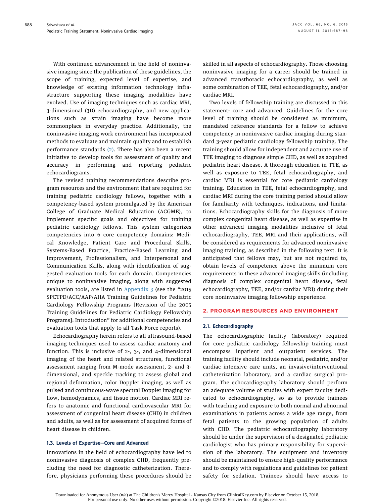With continued advancement in the field of noninvasive imaging since the publication of these guidelines, the scope of training, expected level of expertise, and knowledge of existing information technology infrastructure supporting these imaging modalities have evolved. Use of imaging techniques such as cardiac MRI, 3-dimensional (3D) echocardiography, and new applications such as strain imaging have become more commonplace in everyday practice. Additionally, the noninvasive imaging work environment has incorporated methods to evaluate and maintain quality and to establish performance standards [\(2\).](#page-9-0) There has also been a recent initiative to develop tools for assessment of quality and accuracy in performing and reporting pediatric echocardiograms.

The revised training recommendations describe program resources and the environment that are required for training pediatric cardiology fellows, together with a competency-based system promulgated by the American College of Graduate Medical Education (ACGME), to implement specific goals and objectives for training pediatric cardiology fellows. This system categorizes competencies into 6 core competency domains: Medical Knowledge, Patient Care and Procedural Skills, Systems-Based Practice, Practice-Based Learning and Improvement, Professionalism, and Interpersonal and Communication Skills, along with identification of suggested evaluation tools for each domain. Competencies unique to noninvasive imaging, along with suggested evaluation tools, are listed in [Appendix 3](#page-12-0) (see the "2015 SPCTPD/ACC/AAP/AHA Training Guidelines for Pediatric Cardiology Fellowship Programs [Revision of the 2005 Training Guidelines for Pediatric Cardiology Fellowship Programs]: Introduction" for additional competencies and evaluation tools that apply to all Task Force reports).

Echocardiography herein refers to all ultrasound-based imaging techniques used to assess cardiac anatomy and function. This is inclusive of 2-, 3-, and 4-dimensional imaging of the heart and related structures, functional assessment ranging from M-mode assessment, 2- and 3 dimensional, and speckle tracking to assess global and regional deformation, color Doppler imaging, as well as pulsed and continuous-wave spectral Doppler imaging for flow, hemodynamics, and tissue motion. Cardiac MRI refers to anatomic and functional cardiovascular MRI for assessment of congenital heart disease (CHD) in children and adults, as well as for assessment of acquired forms of heart disease in children.

#### 1.3. Levels of Expertise—Core and Advanced

Innovations in the field of echocardiography have led to noninvasive diagnosis of complex CHD, frequently precluding the need for diagnostic catheterization. Therefore, physicians performing these procedures should be

skilled in all aspects of echocardiography. Those choosing noninvasive imaging for a career should be trained in advanced transthoracic echocardiography, as well as some combination of TEE, fetal echocardiography, and/or cardiac MRI.

Two levels of fellowship training are discussed in this statement: core and advanced. Guidelines for the core level of training should be considered as minimum, mandated reference standards for a fellow to achieve competency in noninvasive cardiac imaging during standard 3-year pediatric cardiology fellowship training. The training should allow for independent and accurate use of TTE imaging to diagnose simple CHD, as well as acquired pediatric heart disease. A thorough education in TTE, as well as exposure to TEE, fetal echocardiography, and cardiac MRI is essential for core pediatric cardiology training. Education in TEE, fetal echocardiography, and cardiac MRI during the core training period should allow for familiarity with techniques, indications, and limitations. Echocardiography skills for the diagnosis of more complex congenital heart disease, as well as expertise in other advanced imaging modalities inclusive of fetal echocardiography, TEE, MRI and their applications, will be considered as requirements for advanced noninvasive imaging training, as described in the following text. It is anticipated that fellows may, but are not required to, obtain levels of competence above the minimum core requirements in these advanced imaging skills (including diagnosis of complex congenital heart disease, fetal echocardiography, TEE, and/or cardiac MRI) during their core noninvasive imaging fellowship experience.

#### 2. PROGRAM RESOURCES AND ENVIRONMENT

#### 2.1. Echocardiography

The echocardiographic facility (laboratory) required for core pediatric cardiology fellowship training must encompass inpatient and outpatient services. The training facility should include neonatal, pediatric, and/or cardiac intensive care units, an invasive/interventional catheterization laboratory, and a cardiac surgical program. The echocardiography laboratory should perform an adequate volume of studies with expert faculty dedicated to echocardiography, so as to provide trainees with teaching and exposure to both normal and abnormal examinations in patients across a wide age range, from fetal patients to the growing population of adults with CHD. The pediatric echocardiography laboratory should be under the supervision of a designated pediatric cardiologist who has primary responsibility for supervision of the laboratory. The equipment and inventory should be maintained to ensure high-quality performance and to comply with regulations and guidelines for patient safety for sedation. Trainees should have access to

Downloaded for Anonymous User (n/a) at The Children's Mercy Hospital - Kansas City from ClinicalKey.com by Elsevier on October 15, 2018. For personal use only. No other uses without permission. Copyright ©2018. Elsevier Inc. All rights reserved.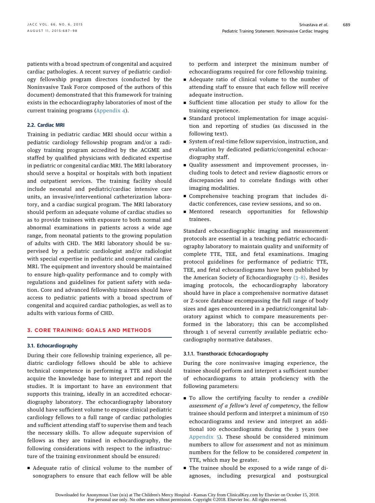patients with a broad spectrum of congenital and acquired cardiac pathologies. A recent survey of pediatric cardiology fellowship program directors (conducted by the Noninvasive Task Force composed of the authors of this document) demonstrated that this framework for training exists in the echocardiography laboratories of most of the current training programs ([Appendix 4\)](#page-13-0).

#### 2.2. Cardiac MRI

Training in pediatric cardiac MRI should occur within a pediatric cardiology fellowship program and/or a radiology training program accredited by the ACGME and staffed by qualified physicians with dedicated expertise in pediatric or congenital cardiac MRI. The MRI laboratory should serve a hospital or hospitals with both inpatient and outpatient services. The training facility should include neonatal and pediatric/cardiac intensive care units, an invasive/interventional catheterization laboratory, and a cardiac surgical program. The MRI laboratory should perform an adequate volume of cardiac studies so as to provide trainees with exposure to both normal and abnormal examinations in patients across a wide age range, from neonatal patients to the growing population of adults with CHD. The MRI laboratory should be supervised by a pediatric cardiologist and/or radiologist with special expertise in pediatric and congenital cardiac MRI. The equipment and inventory should be maintained to ensure high-quality performance and to comply with regulations and guidelines for patient safety with sedation. Core and advanced fellowship trainees should have access to pediatric patients with a broad spectrum of congenital and acquired cardiac pathologies, as well as to adults with various forms of CHD.

#### 3. CORE TRAINING: GOALS AND METHODS

#### 3.1. Echocardiography

During their core fellowship training experience, all pediatric cardiology fellows should be able to achieve technical competence in performing a TTE and should acquire the knowledge base to interpret and report the studies. It is important to have an environment that supports this training, ideally in an accredited echocardiography laboratory. The echocardiography laboratory should have sufficient volume to expose clinical pediatric cardiology fellows to a full range of cardiac pathologies and sufficient attending staff to supervise them and teach the necessary skills. To allow adequate supervision of fellows as they are trained in echocardiography, the following considerations with respect to the infrastructure of the training environment should be ensured:

<sup>n</sup> Adequate ratio of clinical volume to the number of sonographers to ensure that each fellow will be able

to perform and interpret the minimum number of echocardiograms required for core fellowship training.

- <sup>n</sup> Adequate ratio of clinical volume to the number of attending staff to ensure that each fellow will receive adequate instruction.
- <sup>n</sup> Sufficient time allocation per study to allow for the training experience.
- <sup>n</sup> Standard protocol implementation for image acquisition and reporting of studies (as discussed in the following text).
- <sup>n</sup> System of real-time fellow supervision, instruction, and evaluation by dedicated pediatric/congenital echocardiography staff.
- <sup>n</sup> Quality assessment and improvement processes, including tools to detect and review diagnostic errors or discrepancies and to correlate findings with other imaging modalities.
- <sup>n</sup> Comprehensive teaching program that includes didactic conferences, case review sessions, and so on.
- <sup>n</sup> Mentored research opportunities for fellowship trainees.

Standard echocardiographic imaging and measurement protocols are essential in a teaching pediatric echocardiography laboratory to maintain quality and uniformity of complete TTE, TEE, and fetal examinations. Imaging protocol guidelines for performance of pediatric TTE, TEE, and fetal echocardiograms have been published by the American Society of Echocardiography (3–[8\).](#page-9-0) Besides imaging protocols, the echocardiography laboratory should have in place a comprehensive normative dataset or Z-score database encompassing the full range of body sizes and ages encountered in a pediatric/congenital laboratory against which to compare measurements performed in the laboratory; this can be accomplished through 1 of several currently available pediatric echocardiography normative databases.

#### 3.1.1. Transthoracic Echocardiography

During the core noninvasive imaging experience, the trainee should perform and interpret a sufficient number of echocardiograms to attain proficiency with the following parameters:

- To allow the certifying faculty to render a credible assessment of a fellow's level of competency, the fellow trainee should perform and interpret a minimum of 150 echocardiograms and review and interpret an additional 100 echocardiograms during the 3 years (see [Appendix 5](#page-13-0)). These should be considered minimum numbers to allow for assessment and not as minimum numbers for the fellow to be considered competent in TTE, which may be greater.
- <sup>n</sup> The trainee should be exposed to a wide range of diagnoses, including presurgical and postsurgical

Downloaded for Anonymous User (n/a) at The Children's Mercy Hospital - Kansas City from ClinicalKey.com by Elsevier on October 15, 2018. For personal use only. No other uses without permission. Copyright ©2018. Elsevier Inc. All rights reserved.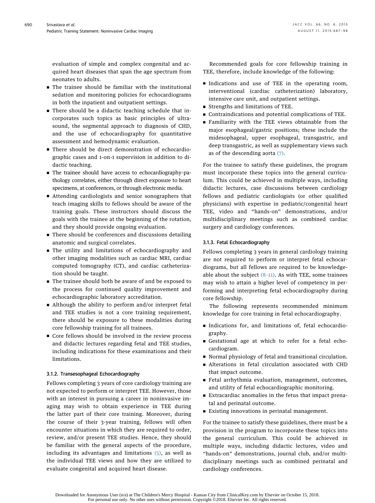evaluation of simple and complex congenital and acquired heart diseases that span the age spectrum from neonates to adults.

- <sup>n</sup> The trainee should be familiar with the institutional sedation and monitoring policies for echocardiograms in both the inpatient and outpatient settings.
- <sup>n</sup> There should be a didactic teaching schedule that incorporates such topics as basic principles of ultrasound, the segmental approach to diagnosis of CHD, and the use of echocardiography for quantitative assessment and hemodynamic evaluation.
- $\blacksquare$  There should be direct demonstration of echocardiographic cases and 1-on-1 supervision in addition to didactic teaching.
- The trainee should have access to echocardiography-pathology correlates, either through direct exposure to heart specimens, at conferences, or through electronic media.
- <sup>n</sup> Attending cardiologists and senior sonographers that teach imaging skills to fellows should be aware of the training goals. These instructors should discuss the goals with the trainee at the beginning of the rotation, and they should provide ongoing evaluation.
- <sup>n</sup> There should be conferences and discussions detailing anatomic and surgical correlates.
- <sup>n</sup> The utility and limitations of echocardiography and other imaging modalities such as cardiac MRI, cardiac computed tomography (CT), and cardiac catheterization should be taught.
- <sup>n</sup> The trainee should both be aware of and be exposed to the process for continued quality improvement and echocardiographic laboratory accreditation.
- <sup>n</sup> Although the ability to perform and/or interpret fetal and TEE studies is not a core training requirement, there should be exposure to these modalities during core fellowship training for all trainees.
- <sup>n</sup> Core fellows should be involved in the review process and didactic lectures regarding fetal and TEE studies, including indications for these examinations and their limitations.

#### 3.1.2. Transesophageal Echocardiography

Fellows completing 3 years of core cardiology training are not expected to perform or interpret TEE. However, those with an interest in pursuing a career in noninvasive imaging may wish to obtain experience in TEE during the latter part of their core training. Moreover, during the course of their 3-year training, fellows will often encounter situations in which they are required to order, review, and/or present TEE studies. Hence, they should be familiar with the general aspects of the procedure, including its advantages and limitations [\(5\),](#page-9-0) as well as the individual TEE views and how they are utilized to evaluate congenital and acquired heart disease.

Recommended goals for core fellowship training in TEE, therefore, include knowledge of the following:

- <sup>n</sup> Indications and use of TEE in the operating room, interventional (cardiac catheterization) laboratory, intensive care unit, and outpatient settings.
- Strengths and limitations of TEE.
- <sup>n</sup> Contraindications and potential complications of TEE.
- <sup>n</sup> Familiarity with the TEE views obtainable from the major esophageal/gastric positions; these include the midesophageal, upper esophageal, transgastric, and deep transgastric, as well as supplementary views such as of the descending aorta [\(7\).](#page-9-0)

For the trainee to satisfy these guidelines, the program must incorporate these topics into the general curriculum. This could be achieved in multiple ways, including didactic lectures, case discussions between cardiology fellows and pediatric cardiologists (or other qualified physicians) with expertise in pediatric/congenital heart TEE, video and "hands-on" demonstrations, and/or multidisciplinary meetings such as combined cardiac surgery and cardiology conferences.

#### 3.1.3. Fetal Echocardiography

Fellows completing 3 years in general cardiology training are not required to perform or interpret fetal echocardiograms, but all fellows are required to be knowledgeable about the subject  $(8-11)$  $(8-11)$ . As with TEE, some trainees may wish to attain a higher level of competency in performing and interpreting fetal echocardiography during core fellowship.

The following represents recommended minimum knowledge for core training in fetal echocardiography.

- <sup>n</sup> Indications for, and limitations of, fetal echocardiography.
- <sup>n</sup> Gestational age at which to refer for a fetal echocardiogram.
- <sup>n</sup> Normal physiology of fetal and transitional circulation.
- <sup>n</sup> Alterations in fetal circulation associated with CHD that impact outcome.
- <sup>n</sup> Fetal arrhythmia evaluation, management, outcomes, and utility of fetal echocardiographic monitoring.
- <sup>n</sup> Extracardiac anomalies in the fetus that impact prenatal and perinatal outcome.
- <sup>n</sup> Existing innovations in perinatal management.

For the trainee to satisfy these guidelines, there must be a provision in the program to incorporate these topics into the general curriculum. This could be achieved in multiple ways, including didactic lectures, video and "hands-on" demonstrations, journal club, and/or multidisciplinary meetings such as combined perinatal and cardiology conferences.

Downloaded for Anonymous User (n/a) at The Children's Mercy Hospital - Kansas City from ClinicalKey.com by Elsevier on October 15, 2018. For personal use only. No other uses without permission. Copyright ©2018. Elsevier Inc. All rights reserved.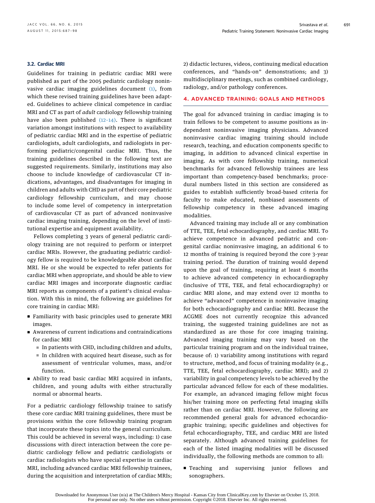#### 3.2. Cardiac MRI

Guidelines for training in pediatric cardiac MRI were published as part of the 2005 pediatric cardiology noninvasive cardiac imaging guidelines document [\(1\)](#page-9-0), from which these revised training guidelines have been adapted. Guidelines to achieve clinical competence in cardiac MRI and CT as part of adult cardiology fellowship training have also been published (12-[14\)](#page-9-0). There is significant variation amongst institutions with respect to availability of pediatric cardiac MRI and in the expertise of pediatric cardiologists, adult cardiologists, and radiologists in performing pediatric/congenital cardiac MRI. Thus, the training guidelines described in the following text are suggested requirements. Similarly, institutions may also choose to include knowledge of cardiovascular CT indications, advantages, and disadvantages for imaging in children and adults with CHD as part of their core pediatric cardiology fellowship curriculum, and may choose to include some level of competency in interpretation of cardiovascular CT as part of advanced noninvasive cardiac imaging training, depending on the level of institutional expertise and equipment availability.

Fellows completing 3 years of general pediatric cardiology training are not required to perform or interpret cardiac MRIs. However, the graduating pediatric cardiology fellow is required to be knowledgeable about cardiac MRI. He or she would be expected to refer patients for cardiac MRI when appropriate, and should be able to view cardiac MRI images and incorporate diagnostic cardiac MRI reports as components of a patient's clinical evaluation. With this in mind, the following are guidelines for core training in cardiac MRI:

- Familiarity with basic principles used to generate MRI images.
- <sup>n</sup> Awareness of current indications and contraindications for cardiac MRI
	- In patients with CHD, including children and adults,
	- <sup>n</sup> In children with acquired heart disease, such as for assessment of ventricular volumes, mass, and/or function.
- <sup>n</sup> Ability to read basic cardiac MRI acquired in infants, children, and young adults with either structurally normal or abnormal hearts.

For a pediatric cardiology fellowship trainee to satisfy these core cardiac MRI training guidelines, there must be provisions within the core fellowship training program that incorporate these topics into the general curriculum. This could be achieved in several ways, including: 1) case discussions with direct interaction between the core pediatric cardiology fellow and pediatric cardiologists or cardiac radiologists who have special expertise in cardiac MRI, including advanced cardiac MRI fellowship trainees, during the acquisition and interpretation of cardiac MRIs; 2) didactic lectures, videos, continuing medical education conferences, and "hands-on" demonstrations; and 3) multidisciplinary meetings, such as combined cardiology, radiology, and/or pathology conferences.

#### 4. ADVANCED TRAINING: GOALS AND METHODS

The goal for advanced training in cardiac imaging is to train fellows to be competent to assume positions as independent noninvasive imaging physicians. Advanced noninvasive cardiac imaging training should include research, teaching, and education components specific to imaging, in addition to advanced clinical expertise in imaging. As with core fellowship training, numerical benchmarks for advanced fellowship trainees are less important than competency-based benchmarks; procedural numbers listed in this section are considered as guides to establish sufficiently broad-based criteria for faculty to make educated, nonbiased assessments of fellowship competency in these advanced imaging modalities.

Advanced training may include all or any combination of TTE, TEE, fetal echocardiography, and cardiac MRI. To achieve competence in advanced pediatric and congenital cardiac noninvasive imaging, an additional 6 to 12 months of training is required beyond the core 3-year training period. The duration of training would depend upon the goal of training, requiring at least 6 months to achieve advanced competency in echocardiography (inclusive of TTE, TEE, and fetal echocardiography) or cardiac MRI alone, and may extend over 12 months to achieve "advanced" competence in noninvasive imaging for both echocardiography and cardiac MRI. Because the ACGME does not currently recognize this advanced training, the suggested training guidelines are not as standardized as are those for core imaging training. Advanced imaging training may vary based on the particular training program and on the individual trainee, because of: 1) variability among institutions with regard to structure, method, and focus of training modality (e.g., TTE, TEE, fetal echocardiography, cardiac MRI); and 2) variability in goal competency levels to be achieved by the particular advanced fellow for each of these modalities. For example, an advanced imaging fellow might focus his/her training more on perfecting fetal imaging skills rather than on cardiac MRI. However, the following are recommended general goals for advanced echocardiographic training; specific guidelines and objectives for fetal echocardiography, TEE, and cardiac MRI are listed separately. Although advanced training guidelines for each of the listed imaging modalities will be discussed individually, the following methods are common to all:

**n** Teaching and supervising junior fellows and sonographers.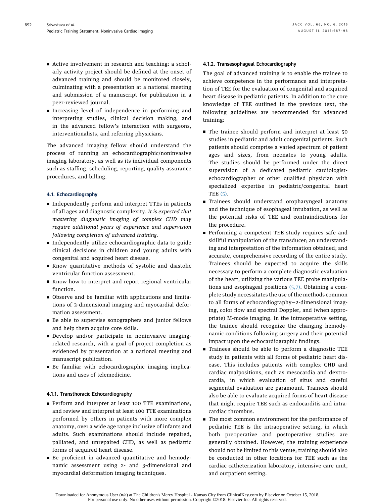- <sup>n</sup> Active involvement in research and teaching: a scholarly activity project should be defined at the onset of advanced training and should be monitored closely, culminating with a presentation at a national meeting and submission of a manuscript for publication in a peer-reviewed journal.
- <sup>n</sup> Increasing level of independence in performing and interpreting studies, clinical decision making, and in the advanced fellow's interaction with surgeons, interventionalists, and referring physicians.

The advanced imaging fellow should understand the process of running an echocardiographic/noninvasive imaging laboratory, as well as its individual components such as staffing, scheduling, reporting, quality assurance procedures, and billing.

#### 4.1. Echocardiography

- <sup>n</sup> Independently perform and interpret TTEs in patients of all ages and diagnostic complexity. It is expected that mastering diagnostic imaging of complex CHD may require additional years of experience and supervision following completion of advanced training.
- <sup>n</sup> Independently utilize echocardiographic data to guide clinical decisions in children and young adults with congenital and acquired heart disease.
- <sup>n</sup> Know quantitative methods of systolic and diastolic ventricular function assessment.
- Know how to interpret and report regional ventricular function.
- <sup>n</sup> Observe and be familiar with applications and limitations of 3-dimensional imaging and myocardial deformation assessment.
- <sup>n</sup> Be able to supervise sonographers and junior fellows and help them acquire core skills.
- <sup>n</sup> Develop and/or participate in noninvasive imagingrelated research, with a goal of project completion as evidenced by presentation at a national meeting and manuscript publication.
- <sup>n</sup> Be familiar with echocardiographic imaging implications and uses of telemedicine.

#### 4.1.1. Transthoracic Echocardiography

- <sup>n</sup> Perform and interpret at least 100 TTE examinations, and review and interpret at least 100 TTE examinations performed by others in patients with more complex anatomy, over a wide age range inclusive of infants and adults. Such examinations should include repaired, palliated, and unrepaired CHD, as well as pediatric forms of acquired heart disease.
- <sup>n</sup> Be proficient in advanced quantitative and hemodynamic assessment using 2- and 3-dimensional and myocardial deformation imaging techniques.

#### 4.1.2. Transesophageal Echocardiography

The goal of advanced training is to enable the trainee to achieve competence in the performance and interpretation of TEE for the evaluation of congenital and acquired heart disease in pediatric patients. In addition to the core knowledge of TEE outlined in the previous text, the following guidelines are recommended for advanced training:

- $\blacksquare$  The trainee should perform and interpret at least 50 studies in pediatric and adult congenital patients. Such patients should comprise a varied spectrum of patient ages and sizes, from neonates to young adults. The studies should be performed under the direct supervision of a dedicated pediatric cardiologistechocardiographer or other qualified physician with specialized expertise in pediatric/congenital heart TEE [\(5\).](#page-9-0)
- <sup>n</sup> Trainees should understand oropharyngeal anatomy and the technique of esophageal intubation, as well as the potential risks of TEE and contraindications for the procedure.
- <sup>n</sup> Performing a competent TEE study requires safe and skillful manipulation of the transducer; an understanding and interpretation of the information obtained; and accurate, comprehensive recording of the entire study. Trainees should be expected to acquire the skills necessary to perform a complete diagnostic evaluation of the heart, utilizing the various TEE probe manipulations and esophageal positions [\(5,7\)](#page-9-0). Obtaining a complete study necessitates the use of the methods common to all forms of echocardiography—2-dimensional imaging, color flow and spectral Doppler, and (when appropriate) M-mode imaging. In the intraoperative setting, the trainee should recognize the changing hemodynamic conditions following surgery and their potential impact upon the echocardiographic findings.
- <sup>n</sup> Trainees should be able to perform a diagnostic TEE study in patients with all forms of pediatric heart disease. This includes patients with complex CHD and cardiac malpositions, such as mesocardia and dextrocardia, in which evaluation of situs and careful segmental evaluation are paramount. Trainees should also be able to evaluate acquired forms of heart disease that might require TEE such as endocarditis and intracardiac thrombus.
- $\blacksquare$  The most common environment for the performance of pediatric TEE is the intraoperative setting, in which both preoperative and postoperative studies are generally obtained. However, the training experience should not be limited to this venue; training should also be conducted in other locations for TEE such as the cardiac catheterization laboratory, intensive care unit, and outpatient setting.

Downloaded for Anonymous User (n/a) at The Children's Mercy Hospital - Kansas City from ClinicalKey.com by Elsevier on October 15, 2018. For personal use only. No other uses without permission. Copyright ©2018. Elsevier Inc. All rights reserved.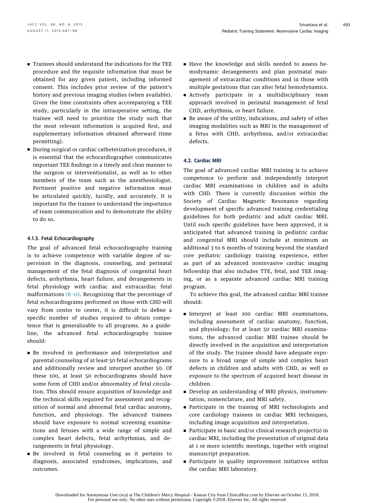- $\blacksquare$  Trainees should understand the indications for the TEE procedure and the requisite information that must be obtained for any given patient, including informed consent. This includes prior review of the patient's history and previous imaging studies (when available). Given the time constraints often accompanying a TEE study, particularly in the intraoperative setting, the trainee will need to prioritize the study such that the most relevant information is acquired first, and supplementary information obtained afterward (time permitting).
- <sup>n</sup> During surgical or cardiac catheterization procedures, it is essential that the echocardiographer communicates important TEE findings in a timely and clear manner to the surgeon or interventionalist, as well as to other members of the team such as the anesthesiologist. Pertinent positive and negative information must be articulated quickly, lucidly, and accurately. It is important for the trainee to understand the importance of team communication and to demonstrate the ability to do so.

#### 4.1.3. Fetal Echocardiography

The goal of advanced fetal echocardiography training is to achieve competence with variable degree of supervision in the diagnosis, counseling, and perinatal management of the fetal diagnosis of congenital heart defects, arrhythmia, heart failure, and derangements in fetal physiology with cardiac and extracardiac fetal malformations (8–[11\).](#page-9-0) Recognizing that the percentage of fetal echocardiograms performed on those with CHD will vary from center to center, it is difficult to define a specific number of studies required to obtain competence that is generalizable to all programs. As a guideline, the advanced fetal echocardiography trainee should:

- <sup>n</sup> Be involved in performance and interpretation and parental counseling of at least 50 fetal echocardiograms and additionally review and interpret another 50. Of these 100, at least 50 echocardiograms should have some form of CHD and/or abnormality of fetal circulation. This should ensure acquisition of knowledge and the technical skills required for assessment and recognition of normal and abnormal fetal cardiac anatomy, function, and physiology. The advanced trainees should have exposure to normal screening examinations and fetuses with a wide range of simple and complex heart defects, fetal arrhythmias, and derangements in fetal physiology.
- <sup>n</sup> Be involved in fetal counseling as it pertains to diagnosis, associated syndromes, implications, and outcomes.
- <sup>n</sup> Have the knowledge and skills needed to assess hemodynamic derangements and plan postnatal management of extracardiac conditions and in those with multiple gestations that can alter fetal hemodynamics.
- <sup>n</sup> Actively participate in a multidisciplinary team approach involved in perinatal management of fetal CHD, arrhythmia, or heart failure.
- <sup>n</sup> Be aware of the utility, indications, and safety of other imaging modalities such as MRI in the management of a fetus with CHD, arrhythmia, and/or extracardiac defects.

#### 4.2. Cardiac MRI

The goal of advanced cardiac MRI training is to achieve competence to perform and independently interpret cardiac MRI examinations in children and in adults with CHD. There is currently discussion within the Society of Cardiac Magnetic Resonance regarding development of specific advanced training credentialing guidelines for both pediatric and adult cardiac MRI. Until such specific guidelines have been approved, it is anticipated that advanced training in pediatric cardiac and congenital MRI should include at minimum an additional 3 to 6 months of training beyond the standard core pediatric cardiology training experience, either as part of an advanced noninvasive cardiac imaging fellowship that also includes TTE, fetal, and TEE imaging, or as a separate advanced cardiac MRI training program.

To achieve this goal, the advanced cardiac MRI trainee should:

- <sup>n</sup> Interpret at least 100 cardiac MRI examinations, including assessment of cardiac anatomy, function, and physiology; for at least 50 cardiac MRI examinations, the advanced cardiac MRI trainee should be directly involved in the acquisition and interpretation of the study. The trainee should have adequate exposure to a broad range of simple and complex heart defects in children and adults with CHD, as well as exposure to the spectrum of acquired heart disease in children.
- <sup>n</sup> Develop an understanding of MRI physics, instrumentation, nomenclature, and MRI safety.
- <sup>n</sup> Participate in the training of MRI technologists and core cardiology trainees in cardiac MRI techniques, including image acquisition and interpretation.
- Participate in basic and/or clinical research project(s) in cardiac MRI, including the presentation of original data at 1 or more scientific meetings, together with original manuscript preparation.
- <sup>n</sup> Participate in quality improvement initiatives within the cardiac MRI laboratory.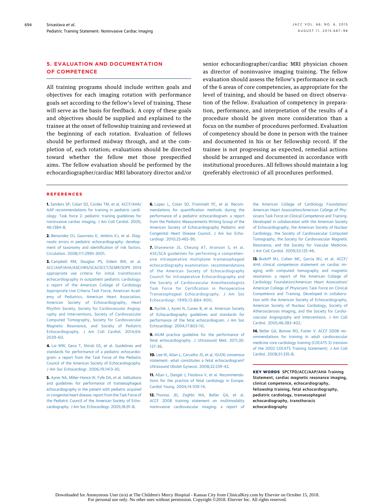#### <span id="page-9-0"></span>5. EVALUATION AND DOCUMENTATION OF COMPETENCE

All training programs should include written goals and objectives for each imaging rotation with performance goals set according to the fellow's level of training. These will serve as the basis for feedback. A copy of these goals and objectives should be supplied and explained to the trainee at the onset of fellowship training and reviewed at the beginning of each rotation. Evaluation of fellows should be performed midway through, and at the completion of, each rotation; evaluations should be directed toward whether the fellow met those prespecified aims. The fellow evaluation should be performed by the echocardiographer/cardiac MRI laboratory director and/or senior echocardiographer/cardiac MRI physician chosen as director of noninvasive imaging training. The fellow evaluation should assess the fellow's performance in each of the 6 areas of core competencies, as appropriate for the level of training, and should be based on direct observation of the fellow. Evaluation of competency in preparation, performance, and interpretation of the results of a procedure should be given more consideration than a focus on the number of procedures performed. Evaluation of competency should be done in person with the trainee and documented in his or her fellowship record. If the trainee is not progressing as expected, remedial actions should be arranged and documented in accordance with institutional procedures. All fellows should maintain a log (preferably electronic) of all procedures performed.

#### REFERENCES

1. [Sanders SP, Colan SD, Cordes TM, et al. ACCF/AHA/](http://refhub.elsevier.com/S0735-1097(15)00815-3/sref1) [AAP recommendations for training in pediatric cardi](http://refhub.elsevier.com/S0735-1097(15)00815-3/sref1)[ology. Task force 2: pediatric training guidelines for](http://refhub.elsevier.com/S0735-1097(15)00815-3/sref1) [noninvasive cardiac imaging. J Am Coll Cardiol. 2005;](http://refhub.elsevier.com/S0735-1097(15)00815-3/sref1) [46:1384](http://refhub.elsevier.com/S0735-1097(15)00815-3/sref1)–8.

2. [Benavidez OJ, Gauvreau K, Jenkins KJ, et al. Diag](http://refhub.elsevier.com/S0735-1097(15)00815-3/sref2)[nostic errors in pediatric echocardiography: develop](http://refhub.elsevier.com/S0735-1097(15)00815-3/sref2)[ment of taxonomy and identi](http://refhub.elsevier.com/S0735-1097(15)00815-3/sref2)fication of risk factors. [Circulation. 2008;117:2995](http://refhub.elsevier.com/S0735-1097(15)00815-3/sref2)–3001.

3. [Campbell RM, Douglas PS, Eidem BW, et al.](http://refhub.elsevier.com/S0735-1097(15)00815-3/sref3) [ACC/AAP/AHA/ASE/HRS/SCAI/SCCT/SCMR/SOPE 2014](http://refhub.elsevier.com/S0735-1097(15)00815-3/sref3) [appropriate use criteria for initial transthoracic](http://refhub.elsevier.com/S0735-1097(15)00815-3/sref3) [echocardiography in outpatient pediatric cardiology:](http://refhub.elsevier.com/S0735-1097(15)00815-3/sref3) [a report of the American College of Cardiology](http://refhub.elsevier.com/S0735-1097(15)00815-3/sref3) [Appropriate Use Criteria Task Force, American Acad](http://refhub.elsevier.com/S0735-1097(15)00815-3/sref3)[emy of Pediatrics, American Heart Association,](http://refhub.elsevier.com/S0735-1097(15)00815-3/sref3) [American Society of Echocardiography, Heart](http://refhub.elsevier.com/S0735-1097(15)00815-3/sref3) [Rhythm Society, Society for Cardiovascular Angiog](http://refhub.elsevier.com/S0735-1097(15)00815-3/sref3)[raphy and Interventions, Society of Cardiovascular](http://refhub.elsevier.com/S0735-1097(15)00815-3/sref3) [Computed Tomography, Society for Cardiovascular](http://refhub.elsevier.com/S0735-1097(15)00815-3/sref3) [Magnetic Resonance, and Society of Pediatric](http://refhub.elsevier.com/S0735-1097(15)00815-3/sref3) [Echocardiography. J Am Coll Cardiol. 2014;64:](http://refhub.elsevier.com/S0735-1097(15)00815-3/sref3) [2039](http://refhub.elsevier.com/S0735-1097(15)00815-3/sref3)–60.

4. [Lai WW, Geva T, Shirali GS, et al. Guidelines and](http://refhub.elsevier.com/S0735-1097(15)00815-3/sref4) [standards for performance of a pediatric echocardio](http://refhub.elsevier.com/S0735-1097(15)00815-3/sref4)[gram: a report from the Task Force of the Pediatric](http://refhub.elsevier.com/S0735-1097(15)00815-3/sref4) [Council of the American Society of Echocardiography.](http://refhub.elsevier.com/S0735-1097(15)00815-3/sref4) [J Am Soc Echocardiogr. 2006;19:1413](http://refhub.elsevier.com/S0735-1097(15)00815-3/sref4)–30.

5. [Ayres NA, Miller-Hance W, Fyfe DA, et al. Indications](http://refhub.elsevier.com/S0735-1097(15)00815-3/sref5) [and guidelines for performance of transesophageal](http://refhub.elsevier.com/S0735-1097(15)00815-3/sref5) [echocardiography in the patient with pediatric acquired](http://refhub.elsevier.com/S0735-1097(15)00815-3/sref5) [or congenital heart disease: report from the Task Force of](http://refhub.elsevier.com/S0735-1097(15)00815-3/sref5) [the Pediatric Council of the American Society of Echo](http://refhub.elsevier.com/S0735-1097(15)00815-3/sref5)[cardiography. J Am Soc Echocardiogr. 2005;18:91](http://refhub.elsevier.com/S0735-1097(15)00815-3/sref5)–8.

6. [Lopez L, Colan SD, Frommelt PC, et al. Recom](http://refhub.elsevier.com/S0735-1097(15)00815-3/sref6)mendations for quantifi[cation methods during the](http://refhub.elsevier.com/S0735-1097(15)00815-3/sref6) [performance of a pediatric echocardiogram: a report](http://refhub.elsevier.com/S0735-1097(15)00815-3/sref6) [from the Pediatric Measurements Writing Group of the](http://refhub.elsevier.com/S0735-1097(15)00815-3/sref6) [American Society of Echocardiography Pediatric and](http://refhub.elsevier.com/S0735-1097(15)00815-3/sref6) [Congenital Heart Disease Council. J Am Soc Echo](http://refhub.elsevier.com/S0735-1097(15)00815-3/sref6)[cardiogr. 2010;23:465](http://refhub.elsevier.com/S0735-1097(15)00815-3/sref6)–95.

7. [Shanewise JS, Cheung AT, Aronson S, et al.](http://refhub.elsevier.com/S0735-1097(15)00815-3/sref7) [ASE/SCA guidelines for performing a comprehen](http://refhub.elsevier.com/S0735-1097(15)00815-3/sref7)[sive intraoperative multiplane transesophageal](http://refhub.elsevier.com/S0735-1097(15)00815-3/sref7) [echocardiography examination: recommendations](http://refhub.elsevier.com/S0735-1097(15)00815-3/sref7) [of the American Society of Echocardiography](http://refhub.elsevier.com/S0735-1097(15)00815-3/sref7) [Council for Intraoperative Echocardiography and](http://refhub.elsevier.com/S0735-1097(15)00815-3/sref7) [the Society of Cardiovascular Anesthesiologists](http://refhub.elsevier.com/S0735-1097(15)00815-3/sref7) Task Force for Certifi[cation in Perioperative](http://refhub.elsevier.com/S0735-1097(15)00815-3/sref7) [Transesophageal Echocardiography. J Am Soc](http://refhub.elsevier.com/S0735-1097(15)00815-3/sref7) [Echocardiogr. 1999;12:884](http://refhub.elsevier.com/S0735-1097(15)00815-3/sref7)–900.

8. [Rychik J, Ayres N, Cuneo B, et al. American Society](http://refhub.elsevier.com/S0735-1097(15)00815-3/sref8) [of Echocardiography guidelines and standards for](http://refhub.elsevier.com/S0735-1097(15)00815-3/sref8) [performance of the fetal echocardiogram. J Am Soc](http://refhub.elsevier.com/S0735-1097(15)00815-3/sref8) [Echocardiogr. 2004;17:803](http://refhub.elsevier.com/S0735-1097(15)00815-3/sref8)–10.

9. AIUM practice quideline for the performance of [fetal echocardiography. J Ultrasound Med. 2011;30:](http://refhub.elsevier.com/S0735-1097(15)00815-3/sref9) [127](http://refhub.elsevier.com/S0735-1097(15)00815-3/sref9)–36.

10. Lee W. Allan L. Carvalho JS, et al. ISUOG consensus [statement: what constitutes a fetal echocardiogram?](http://refhub.elsevier.com/S0735-1097(15)00815-3/sref10) [Ultrasound Obstet Gynecol. 2008;32:239](http://refhub.elsevier.com/S0735-1097(15)00815-3/sref10)–42.

11. [Allan L, Dangel J, Fesslova V, et al. Recommenda](http://refhub.elsevier.com/S0735-1097(15)00815-3/sref11)[tions for the practice of fetal cardiology in Europe.](http://refhub.elsevier.com/S0735-1097(15)00815-3/sref11) [Cardiol Young. 2004;14:109](http://refhub.elsevier.com/S0735-1097(15)00815-3/sref11)–14.

12. [Thomas JD, Zoghbi WA, Beller GA, et al.](http://refhub.elsevier.com/S0735-1097(15)00815-3/sref12) [ACCF 2008 training statement on multimodality](http://refhub.elsevier.com/S0735-1097(15)00815-3/sref12) [noninvasive cardiovascular imaging: a report of](http://refhub.elsevier.com/S0735-1097(15)00815-3/sref12)

[the American College of Cardiology Foundation/](http://refhub.elsevier.com/S0735-1097(15)00815-3/sref12) [American Heart Association/American College of Phy](http://refhub.elsevier.com/S0735-1097(15)00815-3/sref12)[sicians Task Force on Clinical Competence and Training.](http://refhub.elsevier.com/S0735-1097(15)00815-3/sref12) [Developed in collaboration with the American Society](http://refhub.elsevier.com/S0735-1097(15)00815-3/sref12) [of Echocardiography, the American Society of Nuclear](http://refhub.elsevier.com/S0735-1097(15)00815-3/sref12) [Cardiology, the Society of Cardiovascular Computed](http://refhub.elsevier.com/S0735-1097(15)00815-3/sref12) [Tomography, the Society for Cardiovascular Magnetic](http://refhub.elsevier.com/S0735-1097(15)00815-3/sref12) [Resonance, and the Society for Vascular Medicine.](http://refhub.elsevier.com/S0735-1097(15)00815-3/sref12) [J Am Coll Cardiol. 2009;53:125](http://refhub.elsevier.com/S0735-1097(15)00815-3/sref12)–46.

13. [Budoff MJ, Cohen MC, Garcia MJ, et al. ACCF/](http://refhub.elsevier.com/S0735-1097(15)00815-3/sref13) [AHA clinical competence statement on cardiac im](http://refhub.elsevier.com/S0735-1097(15)00815-3/sref13)[aging with computed tomography and magnetic](http://refhub.elsevier.com/S0735-1097(15)00815-3/sref13) [resonance: a report of the American College of](http://refhub.elsevier.com/S0735-1097(15)00815-3/sref13) [Cardiology Foundation/American Heart Association/](http://refhub.elsevier.com/S0735-1097(15)00815-3/sref13) [American College of Physicians Task Force on Clinical](http://refhub.elsevier.com/S0735-1097(15)00815-3/sref13) [Competence and Training. Developed in collabora](http://refhub.elsevier.com/S0735-1097(15)00815-3/sref13)[tion with the American Society of Echocardiography,](http://refhub.elsevier.com/S0735-1097(15)00815-3/sref13) [American Society of Nuclear Cardiology, Society of](http://refhub.elsevier.com/S0735-1097(15)00815-3/sref13) [Atherosclerosis Imaging, and the Society for Cardio](http://refhub.elsevier.com/S0735-1097(15)00815-3/sref13)[vascular Angiography and Interventions. J Am Coll](http://refhub.elsevier.com/S0735-1097(15)00815-3/sref13) [Cardiol. 2005;46:383](http://refhub.elsevier.com/S0735-1097(15)00815-3/sref13)–402.

14. [Beller GA, Bonow RO, Fuster V. ACCF 2008 rec](http://refhub.elsevier.com/S0735-1097(15)00815-3/sref14)[ommendations for training in adult cardiovascular](http://refhub.elsevier.com/S0735-1097(15)00815-3/sref14) [medicine core cardiology training \(COCATS 3\) \(revision](http://refhub.elsevier.com/S0735-1097(15)00815-3/sref14) [of the 2002 COCATS Training Statement\). J Am Coll](http://refhub.elsevier.com/S0735-1097(15)00815-3/sref14) [Cardiol. 2008;51:335](http://refhub.elsevier.com/S0735-1097(15)00815-3/sref14)–8.

KEY WORDS SPCTPD/ACC/AAP/AHA Training Statement, cardiac magnetic resonance imaging, clinical competence, echocardiography, fellowship training, fetal echocardiography, pediatric cardiology, transesophageal echocardiography, transthoracic echocardiography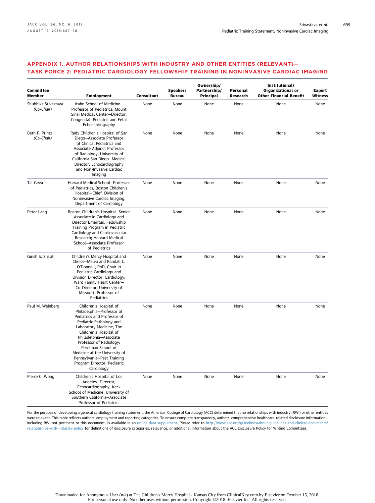#### <span id="page-10-0"></span>APPENDIX 1. AUTHOR RELATIONSHIPS WITH INDUSTRY AND OTHER ENTITIES (RELEVANT)— TASK FORCE 2: PEDIATRIC CARDIOLOGY FELLOWSHIP TRAINING IN NONINVASIVE CARDIAC IMAGING

| <b>Committee</b><br>Member        | <b>Employment</b>                                                                                                                                                                                                                                                                                                                                          | Consultant | <b>Speakers</b><br><b>Bureau</b> | Ownership/<br>Partnership/<br>Principal | Personal<br>Research | Institutional/<br><b>Organizational or</b><br><b>Other Financial Benefit</b> | <b>Expert</b><br>Witness |
|-----------------------------------|------------------------------------------------------------------------------------------------------------------------------------------------------------------------------------------------------------------------------------------------------------------------------------------------------------------------------------------------------------|------------|----------------------------------|-----------------------------------------|----------------------|------------------------------------------------------------------------------|--------------------------|
| Shubhika Srivastava<br>(Co-Chair) | Icahn School of Medicine-<br>Professor of Pediatrics; Mount<br>Sinai Medical Center-Director,<br>Congenital, Pediatric and Fetal<br>Echocardiography                                                                                                                                                                                                       | None       | None                             | None                                    | None                 | None                                                                         | None                     |
| Beth F. Printz<br>(Co-Chair)      | Rady Children's Hospital of San<br>Diego-Associate Professor<br>of Clinical Pediatrics and<br>Associate Adjunct Professor<br>of Radiology; University of<br>California San Diego-Medical<br>Director, Echocardiography<br>and Non-Invasive Cardiac<br>Imaging                                                                                              | None       | None                             | None                                    | None                 | None                                                                         | None                     |
| Tal Geva                          | Harvard Medical School-Professor<br>of Pediatrics; Boston Children's<br>Hospital-Chief, Division of<br>Noninvasive Cardiac Imaging,<br>Department of Cardiology                                                                                                                                                                                            | None       | None                             | None                                    | None                 | None                                                                         | None                     |
| Peter Lang                        | Boston Children's Hospital-Senior<br>Associate in Cardiology and<br>Director Emeritus, Fellowship<br>Training Program in Pediatric<br>Cardiology and Cardiovascular<br>Research; Harvard Medical<br>School-Associate Professor<br>of Pediatrics                                                                                                            | None       | None                             | None                                    | None                 | None                                                                         | None                     |
| Girish S. Shirali                 | Children's Mercy Hospital and<br>Clinics-Melva and Randall L.<br>O'Donnell, PhD, Chair in<br>Pediatric Cardiology and<br>Division Director, Cardiology;<br>Ward Family Heart Center-<br>Co-Director; University of<br>Missouri-Professor of<br>Pediatrics                                                                                                  | None       | None                             | None                                    | None                 | None                                                                         | None                     |
| Paul M. Weinberg                  | Children's Hospital of<br>Philadelphia-Professor of<br>Pediatrics and Professor of<br>Pediatric Pathology and<br>Laboratory Medicine; The<br>Children's Hospital of<br>Philadelphia-Associate<br>Professor of Radiology;<br>Perelman School of<br>Medicine at the University of<br>Pennsylvania-Past Training<br>Program Director, Pediatric<br>Cardiology | None       | None                             | None                                    | None                 | None                                                                         | None                     |
| Pierre C. Wong                    | Children's Hospital of Los<br>Angeles-Director,<br>Echocardiography; Keck<br>School of Medicine, University of<br>Southern California-Associate<br>Professor of Pediatrics                                                                                                                                                                                 | None       | None                             | None                                    | None                 | None                                                                         | None                     |

For the purpose of developing a general cardiology training statement, the American College of Cardiology (ACC) determined that no relationships with industry (RWI) or other entities were relevant. This table reflects authors' employment and reporting categories. To ensure complete transparency, authors' comprehensive healthcare-related disclosure information including RWI not pertinent to this document-is available in an [online data supplement](http://jaccjacc.acc.org/Clinical_Document/Ped_TS_TF2_Comprehensive_RWI_Supplement.pdf). Please refer to [http://www.acc.org/guidelines/about-guidelines-and-clinical-documents/](http://www.acc.org/guidelines/about-guidelines-and-clinical-documents/relationships-with-industry-policy) [relationships-with-industry-policy](http://www.acc.org/guidelines/about-guidelines-and-clinical-documents/relationships-with-industry-policy) for definitions of disclosure categories, relevance, or additional information about the ACC Disclosure Policy for Writing Committees.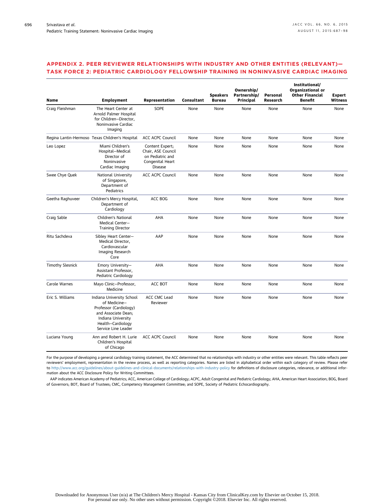#### <span id="page-11-0"></span>APPENDIX 2. PEER REVIEWER RELATIONSHIPS WITH INDUSTRY AND OTHER ENTITIES (RELEVANT)— TASK FORCE 2: PEDIATRIC CARDIOLOGY FELLOWSHIP TRAINING IN NONINVASIVE CARDIAC IMAGING

| <b>Name</b>             | <b>Employment</b>                                                                                                                                            | Representation                                                                                  | Consultant | <b>Speakers</b><br><b>Bureau</b> | Ownership/<br>Partnership/<br>Principal | Personal<br>Research | Institutional/<br><b>Organizational or</b><br><b>Other Financial</b><br><b>Benefit</b> | <b>Expert</b><br>Witness |
|-------------------------|--------------------------------------------------------------------------------------------------------------------------------------------------------------|-------------------------------------------------------------------------------------------------|------------|----------------------------------|-----------------------------------------|----------------------|----------------------------------------------------------------------------------------|--------------------------|
| Craig Fleishman         | The Heart Center at<br>Arnold Palmer Hospital<br>for Children-Director,<br>Noninvasive Cardiac<br>Imaging                                                    | SOPE                                                                                            | None       | None                             | None                                    | None                 | None                                                                                   | None                     |
|                         | Regina Lantin-Hermoso Texas Children's Hospital                                                                                                              | <b>ACC ACPC Council</b>                                                                         | None       | None                             | None                                    | None                 | None                                                                                   | None                     |
| Leo Lopez               | Miami Children's<br>Hospital-Medical<br>Director of<br>Noninvasive<br>Cardiac Imaging                                                                        | Content Expert;<br>Chair, ASE Council<br>on Pediatric and<br>Congenital Heart<br><b>Disease</b> | None       | None                             | None                                    | None                 | None                                                                                   | None                     |
| Swee Chye Quek          | National University<br>of Singapore,<br>Department of<br>Pediatrics                                                                                          | <b>ACC ACPC Council</b>                                                                         | None       | None                             | None                                    | None                 | None                                                                                   | None                     |
| Geetha Raghuveer        | Children's Mercy Hospital,<br>Department of<br>Cardiology                                                                                                    | ACC BOG                                                                                         | None       | None                             | None                                    | None                 | None                                                                                   | None                     |
| Craig Sable             | Children's National<br>Medical Center-<br><b>Training Director</b>                                                                                           | AHA                                                                                             | None       | None                             | None                                    | None                 | None                                                                                   | None                     |
| Ritu Sachdeva           | Sibley Heart Center-<br>Medical Director.<br>Cardiovascular<br>Imaging Research<br>Core                                                                      | AAP                                                                                             | None       | None                             | None                                    | None                 | None                                                                                   | None                     |
| <b>Timothy Slesnick</b> | Emory University-<br>Assistant Professor,<br>Pediatric Cardiology                                                                                            | AHA                                                                                             | None       | None                             | None                                    | None                 | None                                                                                   | None                     |
| Carole Warnes           | Mayo Clinic-Professor,<br>Medicine                                                                                                                           | ACC BOT                                                                                         | None       | None                             | None                                    | None                 | None                                                                                   | None                     |
| Eric S. Williams        | Indiana University School<br>of Medicine-<br>Professor (Cardiology)<br>and Associate Dean;<br>Indiana University<br>Health-Cardiology<br>Service Line Leader | ACC CMC Lead<br>Reviewer                                                                        | None       | None                             | None                                    | None                 | None                                                                                   | None                     |
| Luciana Young           | Ann and Robert H. Lurie<br>Children's Hospital<br>of Chicago                                                                                                 | <b>ACC ACPC Council</b>                                                                         | None       | None                             | None                                    | None                 | None                                                                                   | None                     |

For the purpose of developing a general cardiology training statement, the ACC determined that no relationships with industry or other entities were relevant. This table reflects peer reviewers' employment, representation in the review process, as well as reporting categories. Names are listed in alphabetical order within each category of review. Please refer to <http://www.acc.org/guidelines/about-guidelines-and-clinical-documents/relationships-with-industry-policy> for definitions of disclosure categories, relevance, or additional information about the ACC Disclosure Policy for Writing Committees.

AAP indicates American Academy of Pediatrics; ACC, American College of Cardiology; ACPC, Adult Congenital and Pediatric Cardiology; AHA, American Heart Association; BOG, Board of Governors; BOT, Board of Trustees; CMC, Competency Management Committee; and SOPE, Society of Pediatric Echocardiography.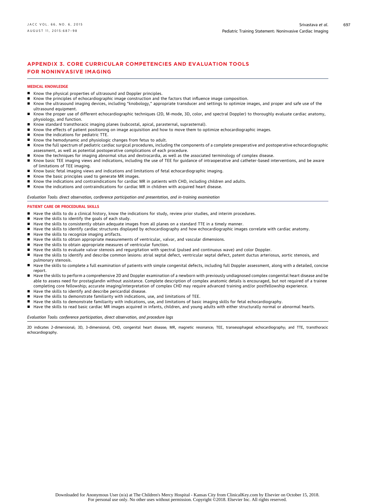#### <span id="page-12-0"></span>APPENDIX 3. CORE CURRICULAR COMPETENCIES AND EVALUATION TOOLS FOR NONINVASIVE IMAGING

#### MEDICAL KNOWLEDGE

- Know the physical properties of ultrasound and Doppler principles.
- Know the principles of echocardiographic image construction and the factors that influence image composition.<br>■ Know the ultrasound imaging devices including "knobology" appropriate transducer and settings to optimize i
- n Know the ultrasound imaging devices, including "knobology," appropriate transducer and settings to optimize images, and proper and safe use of the ultrasound equipment.
- Know the proper use of different echocardiographic techniques (2D, M-mode, 3D, color, and spectral Doppler) to thoroughly evaluate cardiac anatomy, physiology, and function.
- Know standard transthoracic imaging planes (subcostal, apical, parasternal, suprasternal).
- n Know the effects of patient positioning on image acquisition and how to move them to optimize echocardiographic images.
- Know the indications for pediatric TTE.
- Know the hemodynamic and physiologic changes from fetus to adult.
- n Know the full spectrum of pediatric cardiac surgical procedures, including the components of a complete preoperative and postoperative echocardiographic assessment, as well as potential postoperative complications of each procedure.
- Know the techniques for imaging abnormal situs and dextrocardia, as well as the associated terminology of complex disease.<br>■ Know basic TEE imaging views and indications, including the use of TEE for quidance of intraop
- n Know basic TEE imaging views and indications, including the use of TEE for guidance of intraoperative and catheter-based interventions, and be aware of limitations of TEE imaging.
- Know basic fetal imaging views and indications and limitations of fetal echocardiographic imaging.
- Know the basic principles used to generate MR images.
- Know the indications and contraindications for cardiac MR in patients with CHD, including children and adults.
- n Know the indications and contraindications for cardiac MR in children with acquired heart disease.

Evaluation Tools: direct observation, conference participation and presentation, and in-training examination

#### PATIENT CARE OR PROCEDURAL SKILLS

- Have the skills to do a clinical history, know the indications for study, review prior studies, and interim procedures.
- Have the skills to identify the goals of each study.
- n Have the skills to consistently obtain adequate images from all planes on a standard TTE in a timely manner.
- n Have the skills to identify cardiac structures displayed by echocardiography and how echocardiographic images correlate with cardiac anatomy.
- Have the skills to recognize imaging artifacts.
- $\blacksquare$  Have the skills to obtain appropriate measurements of ventricular, valvar, and vascular dimensions.<br> $\blacksquare$  Have the skills to obtain appropriate measures of ventricular function
- Have the skills to obtain appropriate measures of ventricular function.
- n Have the skills to evaluate valvar stenosis and regurgitation with spectral (pulsed and continuous wave) and color Doppler. n Have the skills to identify and describe common lesions: atrial septal defect, ventricular septal defect, patent ductus arteriosus, aortic stenosis, and
- pulmonary stenosis.
- n Have the skills to complete a full examination of patients with simple congenital defects, including full Doppler assessment, along with a detailed, concise report.
- Have the skills to perform a comprehensive 2D and Doppler examination of a newborn with previously undiagnosed complex congenital heart disease and be able to assess need for prostaglandin without assistance. Complete description of complex anatomic details is encouraged, but not required of a trainee completing core fellowship; accurate imaging/interpretation of complex CHD may require advanced training and/or postfellowship experience.
- Have the skills to identify and describe pericardial disease.
- $\blacksquare$  Have the skills to demonstrate familiarity with indications, use, and limitations of TEE.<br> $\blacksquare$  Have the skills to demonstrate familiarity with indications, use, and limitations of basic
- n Have the skills to demonstrate familiarity with indications, use, and limitations of basic imaging skills for fetal echocardiography.
- Have the skills to read basic cardiac MR images acquired in infants, children, and young adults with either structurally normal or abnormal hearts.

#### Evaluation Tools: conference participation, direct observation, and procedure logs

2D indicates 2-dimensional; 3D, 3-dimensional; CHD, congenital heart disease; MR, magnetic resonance; TEE, transesophageal echocardiography; and TTE, transthoracic echocardiography.